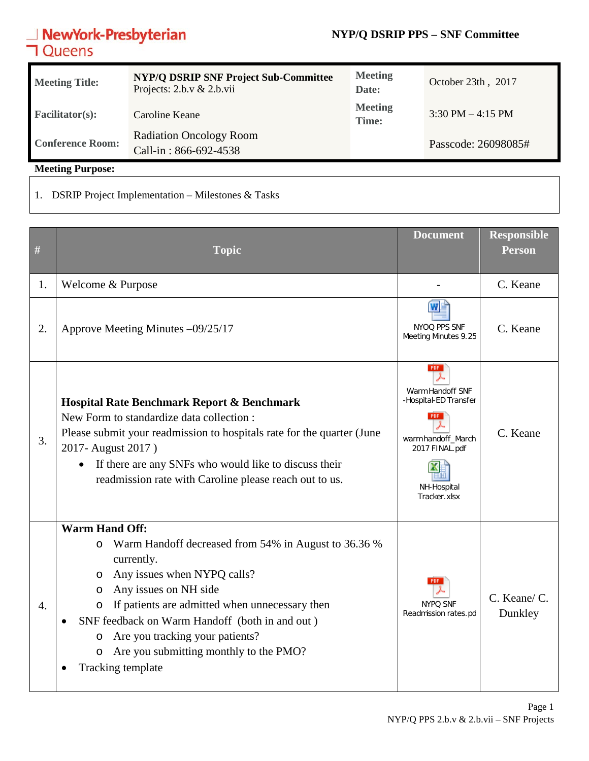#### **NYP/Q DSRIP PPS – SNF Committee**

## **NewYork-Presbyterian**<br>**コ**Queens

| <b>Meeting Title:</b>   | <b>NYP/Q DSRIP SNF Project Sub-Committee</b><br>Projects: $2.b.v & 2.b.vii$ | <b>Meeting</b><br>Date: | October 23th, 2017                  |
|-------------------------|-----------------------------------------------------------------------------|-------------------------|-------------------------------------|
| <b>Facilitator(s):</b>  | Caroline Keane                                                              | <b>Meeting</b><br>Time: | $3:30 \text{ PM} - 4:15 \text{ PM}$ |
| <b>Conference Room:</b> | <b>Radiation Oncology Room</b><br>Call-in: 866-692-4538                     |                         | Passcode: 26098085#                 |

**Meeting Purpose:** 

1. DSRIP Project Implementation – Milestones & Tasks

| $\#$             | <b>Topic</b>                                                                                                                                                                                                                                                                                                                                                                                                     | <b>Document</b>                                                                                                                | <b>Responsible</b><br><b>Person</b> |
|------------------|------------------------------------------------------------------------------------------------------------------------------------------------------------------------------------------------------------------------------------------------------------------------------------------------------------------------------------------------------------------------------------------------------------------|--------------------------------------------------------------------------------------------------------------------------------|-------------------------------------|
| 1.               | Welcome & Purpose                                                                                                                                                                                                                                                                                                                                                                                                |                                                                                                                                | C. Keane                            |
| 2.               | Approve Meeting Minutes -09/25/17                                                                                                                                                                                                                                                                                                                                                                                | NYOO PPS SNF<br>Meeting Minutes 9.25                                                                                           | C. Keane                            |
| 3.               | Hospital Rate Benchmark Report & Benchmark<br>New Form to standardize data collection :<br>Please submit your readmission to hospitals rate for the quarter (June<br>2017- August 2017)<br>If there are any SNFs who would like to discuss their<br>readmission rate with Caroline please reach out to us.                                                                                                       | <b>PDF</b><br>Warm Handoff SNF<br>-Hospital-ED Transfer<br>warm handoff_March<br>2017 FINAL.pdf<br>NH-Hospital<br>Tracker.xlsx | C. Keane                            |
| $\overline{4}$ . | <b>Warm Hand Off:</b><br>Warm Handoff decreased from 54% in August to 36.36 %<br>O<br>currently.<br>Any issues when NYPQ calls?<br>O<br>Any issues on NH side<br>$\circ$<br>If patients are admitted when unnecessary then<br>O<br>SNF feedback on Warm Handoff (both in and out)<br>$\bullet$<br>Are you tracking your patients?<br>$\circ$<br>Are you submitting monthly to the PMO?<br>O<br>Tracking template | <b>NYPO SNF</b><br>Readmission rates.pd                                                                                        | C. Keane/ C.<br>Dunkley             |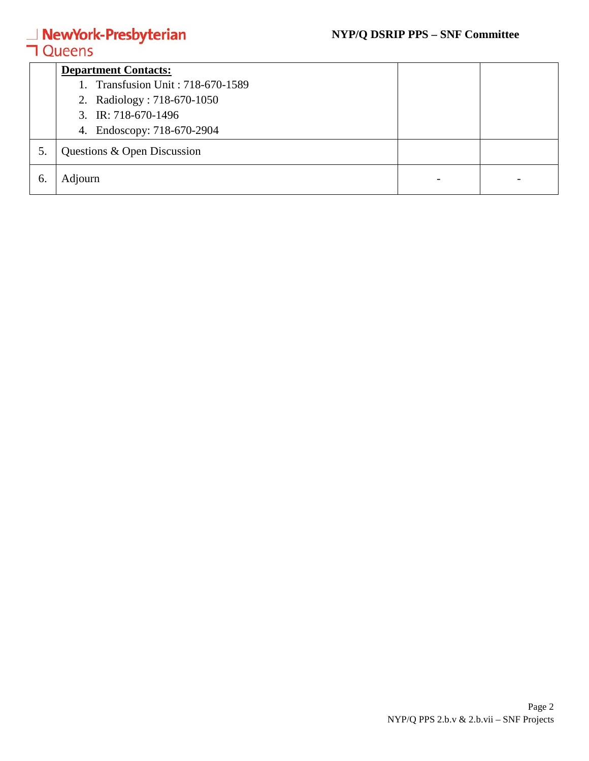#### **NYP/Q DSRIP PPS – SNF Committee**

# **△ NewYork-Presbyterian**<br>**コ** Queens

|    | <b>Department Contacts:</b>       |  |  |  |  |
|----|-----------------------------------|--|--|--|--|
|    | 1. Transfusion Unit: 718-670-1589 |  |  |  |  |
|    | 2. Radiology: 718-670-1050        |  |  |  |  |
|    | 3. IR: $718-670-1496$             |  |  |  |  |
|    | 4. Endoscopy: 718-670-2904        |  |  |  |  |
| 5. | Questions & Open Discussion       |  |  |  |  |
| 6. | Adjourn                           |  |  |  |  |